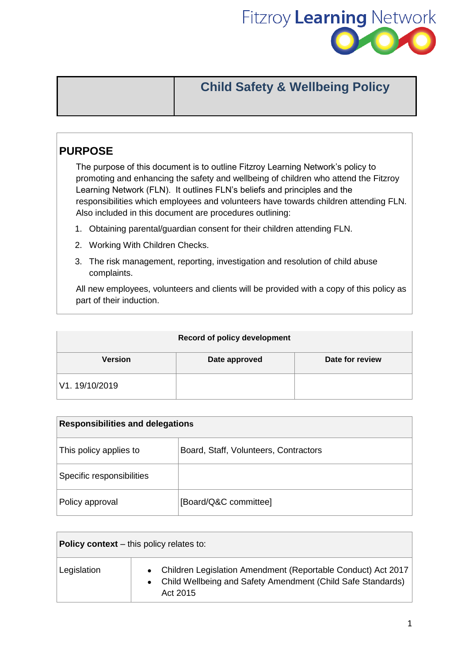

# **Child Safety & Wellbeing Policy**

# **PURPOSE**

The purpose of this document is to outline Fitzroy Learning Network's policy to promoting and enhancing the safety and wellbeing of children who attend the Fitzroy Learning Network (FLN). It outlines FLN's beliefs and principles and the responsibilities which employees and volunteers have towards children attending FLN. Also included in this document are procedures outlining:

- 1. Obtaining parental/guardian consent for their children attending FLN.
- 2. Working With Children Checks.
- 3. The risk management, reporting, investigation and resolution of child abuse complaints.

All new employees, volunteers and clients will be provided with a copy of this policy as part of their induction.

| <b>Record of policy development</b> |               |                 |
|-------------------------------------|---------------|-----------------|
| <b>Version</b>                      | Date approved | Date for review |
| V1.19/10/2019                       |               |                 |

| <b>Responsibilities and delegations</b> |                                       |  |
|-----------------------------------------|---------------------------------------|--|
| This policy applies to                  | Board, Staff, Volunteers, Contractors |  |
| Specific responsibilities               |                                       |  |
| Policy approval                         | [Board/Q&C committee]                 |  |

| <b>Policy context</b> – this policy relates to: |                                                                                                                                             |  |
|-------------------------------------------------|---------------------------------------------------------------------------------------------------------------------------------------------|--|
| Legislation                                     | • Children Legislation Amendment (Reportable Conduct) Act 2017<br>• Child Wellbeing and Safety Amendment (Child Safe Standards)<br>Act 2015 |  |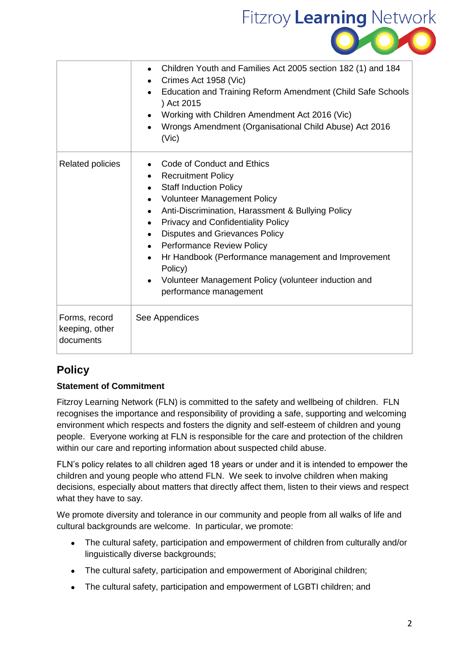

|                                              | Children Youth and Families Act 2005 section 182 (1) and 184<br>$\bullet$<br>Crimes Act 1958 (Vic)<br>Education and Training Reform Amendment (Child Safe Schools<br>) Act 2015<br>Working with Children Amendment Act 2016 (Vic)<br>Wrongs Amendment (Organisational Child Abuse) Act 2016<br>(Vic)                                                                                                                                                                                                                                                    |
|----------------------------------------------|---------------------------------------------------------------------------------------------------------------------------------------------------------------------------------------------------------------------------------------------------------------------------------------------------------------------------------------------------------------------------------------------------------------------------------------------------------------------------------------------------------------------------------------------------------|
| <b>Related policies</b>                      | Code of Conduct and Ethics<br><b>Recruitment Policy</b><br><b>Staff Induction Policy</b><br>$\bullet$<br><b>Volunteer Management Policy</b><br>$\bullet$<br>Anti-Discrimination, Harassment & Bullying Policy<br>$\bullet$<br><b>Privacy and Confidentiality Policy</b><br>$\bullet$<br><b>Disputes and Grievances Policy</b><br>$\bullet$<br>• Performance Review Policy<br>Hr Handbook (Performance management and Improvement<br>$\bullet$<br>Policy)<br>Volunteer Management Policy (volunteer induction and<br>$\bullet$<br>performance management |
| Forms, record<br>keeping, other<br>documents | See Appendices                                                                                                                                                                                                                                                                                                                                                                                                                                                                                                                                          |

# **Policy**

### **Statement of Commitment**

Fitzroy Learning Network (FLN) is committed to the safety and wellbeing of children. FLN recognises the importance and responsibility of providing a safe, supporting and welcoming environment which respects and fosters the dignity and self-esteem of children and young people. Everyone working at FLN is responsible for the care and protection of the children within our care and reporting information about suspected child abuse.

FLN's policy relates to all children aged 18 years or under and it is intended to empower the children and young people who attend FLN. We seek to involve children when making decisions, especially about matters that directly affect them, listen to their views and respect what they have to say.

We promote diversity and tolerance in our community and people from all walks of life and cultural backgrounds are welcome. In particular, we promote:

- The cultural safety, participation and empowerment of children from culturally and/or linguistically diverse backgrounds;
- The cultural safety, participation and empowerment of Aboriginal children;
- The cultural safety, participation and empowerment of LGBTI children; and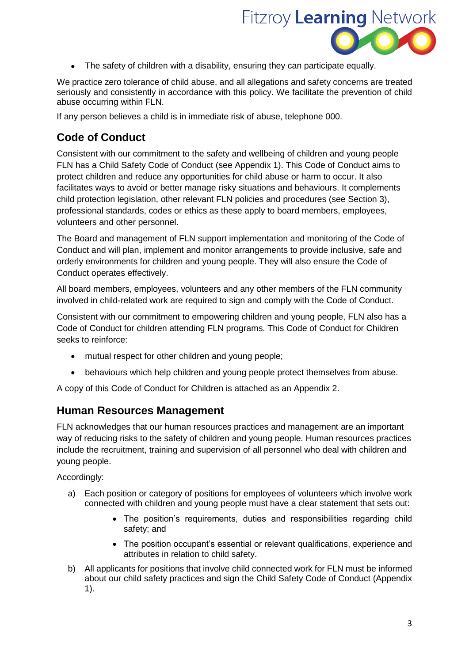

The safety of children with a disability, ensuring they can participate equally.

We practice zero tolerance of child abuse, and all allegations and safety concerns are treated seriously and consistently in accordance with this policy. We facilitate the prevention of child abuse occurring within FLN.

If any person believes a child is in immediate risk of abuse, telephone 000.

## **Code of Conduct**

Consistent with our commitment to the safety and wellbeing of children and young people FLN has a Child Safety Code of Conduct (see Appendix 1). This Code of Conduct aims to protect children and reduce any opportunities for child abuse or harm to occur. It also facilitates ways to avoid or better manage risky situations and behaviours. It complements child protection legislation, other relevant FLN policies and procedures (see Section 3), professional standards, codes or ethics as these apply to board members, employees, volunteers and other personnel.

The Board and management of FLN support implementation and monitoring of the Code of Conduct and will plan, implement and monitor arrangements to provide inclusive, safe and orderly environments for children and young people. They will also ensure the Code of Conduct operates effectively.

All board members, employees, volunteers and any other members of the FLN community involved in child-related work are required to sign and comply with the Code of Conduct.

Consistent with our commitment to empowering children and young people, FLN also has a Code of Conduct for children attending FLN programs. This Code of Conduct for Children seeks to reinforce:

- mutual respect for other children and young people;
- behaviours which help children and young people protect themselves from abuse.

A copy of this Code of Conduct for Children is attached as an Appendix 2.

### **Human Resources Management**

FLN acknowledges that our human resources practices and management are an important way of reducing risks to the safety of children and young people. Human resources practices include the recruitment, training and supervision of all personnel who deal with children and young people.

Accordingly:

- a) Each position or category of positions for employees of volunteers which involve work connected with children and young people must have a clear statement that sets out:
	- The position's requirements, duties and responsibilities regarding child safety; and
	- The position occupant's essential or relevant qualifications, experience and attributes in relation to child safety.
- b) All applicants for positions that involve child connected work for FLN must be informed about our child safety practices and sign the Child Safety Code of Conduct (Appendix 1).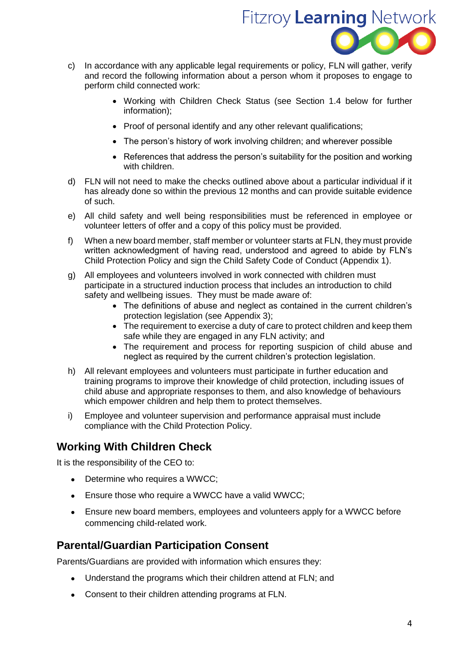

- c) In accordance with any applicable legal requirements or policy, FLN will gather, verify and record the following information about a person whom it proposes to engage to perform child connected work:
	- Working with Children Check Status (see Section 1.4 below for further information);
	- Proof of personal identify and any other relevant qualifications;
	- The person's history of work involving children; and wherever possible
	- References that address the person's suitability for the position and working with children.
- d) FLN will not need to make the checks outlined above about a particular individual if it has already done so within the previous 12 months and can provide suitable evidence of such.
- e) All child safety and well being responsibilities must be referenced in employee or volunteer letters of offer and a copy of this policy must be provided.
- f) When a new board member, staff member or volunteer starts at FLN, they must provide written acknowledgment of having read, understood and agreed to abide by FLN's Child Protection Policy and sign the Child Safety Code of Conduct (Appendix 1).
- g) All employees and volunteers involved in work connected with children must participate in a structured induction process that includes an introduction to child safety and wellbeing issues. They must be made aware of:
	- The definitions of abuse and neglect as contained in the current children's protection legislation (see Appendix 3);
	- The requirement to exercise a duty of care to protect children and keep them safe while they are engaged in any FLN activity; and
	- The requirement and process for reporting suspicion of child abuse and neglect as required by the current children's protection legislation.
- h) All relevant employees and volunteers must participate in further education and training programs to improve their knowledge of child protection, including issues of child abuse and appropriate responses to them, and also knowledge of behaviours which empower children and help them to protect themselves.
- i) Employee and volunteer supervision and performance appraisal must include compliance with the Child Protection Policy.

### **Working With Children Check**

It is the responsibility of the CEO to:

- Determine who requires a WWCC;
- Ensure those who require a WWCC have a valid WWCC;
- Ensure new board members, employees and volunteers apply for a WWCC before commencing child-related work.

### **Parental/Guardian Participation Consent**

Parents/Guardians are provided with information which ensures they:

- Understand the programs which their children attend at FLN; and
- Consent to their children attending programs at FLN.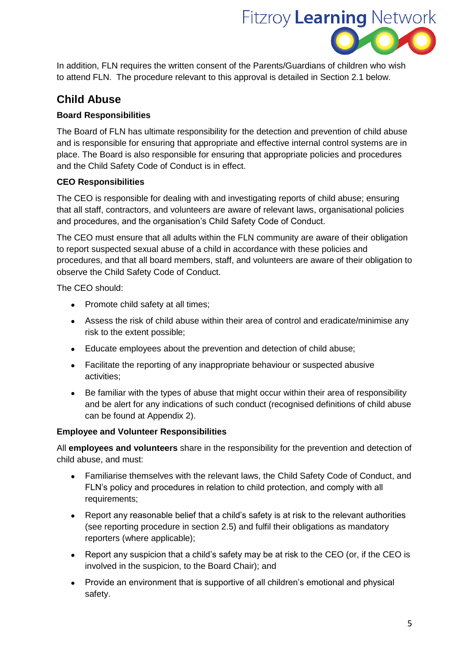

In addition, FLN requires the written consent of the Parents/Guardians of children who wish to attend FLN. The procedure relevant to this approval is detailed in Section 2.1 below.

# **Child Abuse**

#### **Board Responsibilities**

The Board of FLN has ultimate responsibility for the detection and prevention of child abuse and is responsible for ensuring that appropriate and effective internal control systems are in place. The Board is also responsible for ensuring that appropriate policies and procedures and the Child Safety Code of Conduct is in effect.

#### **CEO Responsibilities**

The CEO is responsible for dealing with and investigating reports of child abuse; ensuring that all staff, contractors, and volunteers are aware of relevant laws, organisational policies and procedures, and the organisation's Child Safety Code of Conduct.

The CEO must ensure that all adults within the FLN community are aware of their obligation to report suspected sexual abuse of a child in accordance with these policies and procedures, and that all board members, staff, and volunteers are aware of their obligation to observe the Child Safety Code of Conduct.

The CEO should:

- Promote child safety at all times;
- Assess the risk of child abuse within their area of control and eradicate/minimise any risk to the extent possible;
- Educate employees about the prevention and detection of child abuse;
- Facilitate the reporting of any inappropriate behaviour or suspected abusive activities;
- Be familiar with the types of abuse that might occur within their area of responsibility and be alert for any indications of such conduct (recognised definitions of child abuse can be found at Appendix 2).

#### **Employee and Volunteer Responsibilities**

All **employees and volunteers** share in the responsibility for the prevention and detection of child abuse, and must:

- Familiarise themselves with the relevant laws, the Child Safety Code of Conduct, and FLN's policy and procedures in relation to child protection, and comply with all requirements;
- Report any reasonable belief that a child's safety is at risk to the relevant authorities (see reporting procedure in section 2.5) and fulfil their obligations as mandatory reporters (where applicable);
- Report any suspicion that a child's safety may be at risk to the CEO (or, if the CEO is involved in the suspicion, to the Board Chair); and
- Provide an environment that is supportive of all children's emotional and physical safety.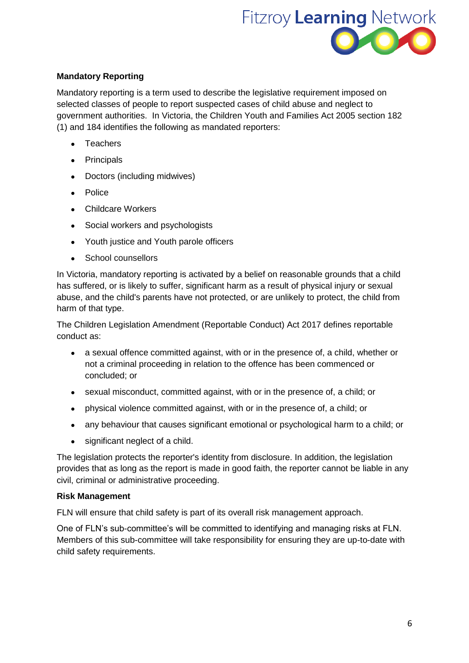

#### **Mandatory Reporting**

Mandatory reporting is a term used to describe the legislative requirement imposed on selected classes of people to report suspected cases of child abuse and neglect to government authorities. In Victoria, the Children Youth and Families Act 2005 section 182 (1) and 184 identifies the following as mandated reporters:

- **CONTEX** Teachers
- Principals
- Doctors (including midwives)
- Police
- Childcare Workers
- Social workers and psychologists
- Youth justice and Youth parole officers
- School counsellors

In Victoria, mandatory reporting is activated by a belief on reasonable grounds that a child has suffered, or is likely to suffer, significant harm as a result of physical injury or sexual abuse, and the child's parents have not protected, or are unlikely to protect, the child from harm of that type.

The Children Legislation Amendment (Reportable Conduct) Act 2017 defines reportable conduct as:

- a sexual offence committed against, with or in the presence of, a child, whether or not a criminal proceeding in relation to the offence has been commenced or concluded; or
- sexual misconduct, committed against, with or in the presence of, a child; or
- physical violence committed against, with or in the presence of, a child; or
- any behaviour that causes significant emotional or psychological harm to a child; or
- significant neglect of a child.

The legislation protects the reporter's identity from disclosure. In addition, the legislation provides that as long as the report is made in good faith, the reporter cannot be liable in any civil, criminal or administrative proceeding.

#### **Risk Management**

FLN will ensure that child safety is part of its overall risk management approach.

One of FLN's sub-committee's will be committed to identifying and managing risks at FLN. Members of this sub-committee will take responsibility for ensuring they are up-to-date with child safety requirements.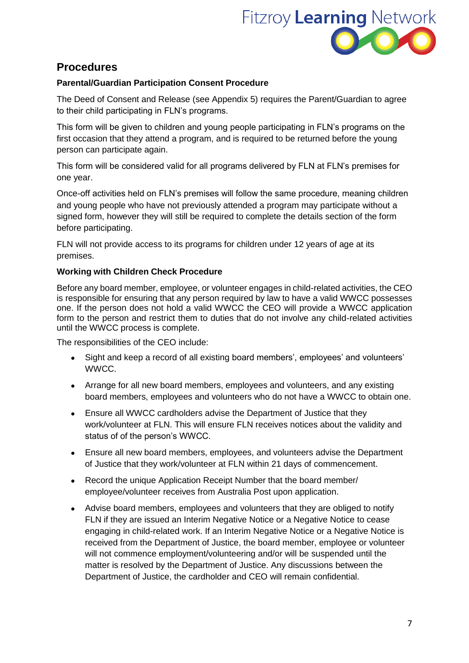

### **Procedures**

#### **Parental/Guardian Participation Consent Procedure**

The Deed of Consent and Release (see Appendix 5) requires the Parent/Guardian to agree to their child participating in FLN's programs.

This form will be given to children and young people participating in FLN's programs on the first occasion that they attend a program, and is required to be returned before the young person can participate again.

This form will be considered valid for all programs delivered by FLN at FLN's premises for one year.

Once-off activities held on FLN's premises will follow the same procedure, meaning children and young people who have not previously attended a program may participate without a signed form, however they will still be required to complete the details section of the form before participating.

FLN will not provide access to its programs for children under 12 years of age at its premises.

#### **Working with Children Check Procedure**

Before any board member, employee, or volunteer engages in child-related activities, the CEO is responsible for ensuring that any person required by law to have a valid WWCC possesses one. If the person does not hold a valid WWCC the CEO will provide a WWCC application form to the person and restrict them to duties that do not involve any child-related activities until the WWCC process is complete.

The responsibilities of the CEO include:

- Sight and keep a record of all existing board members', employees' and volunteers' WWCC.
- Arrange for all new board members, employees and volunteers, and any existing board members, employees and volunteers who do not have a WWCC to obtain one.
- Ensure all WWCC cardholders advise the Department of Justice that they work/volunteer at FLN. This will ensure FLN receives notices about the validity and status of of the person's WWCC.
- Ensure all new board members, employees, and volunteers advise the Department of Justice that they work/volunteer at FLN within 21 days of commencement.
- Record the unique Application Receipt Number that the board member/ employee/volunteer receives from Australia Post upon application.
- Advise board members, employees and volunteers that they are obliged to notify FLN if they are issued an Interim Negative Notice or a Negative Notice to cease engaging in child-related work. If an Interim Negative Notice or a Negative Notice is received from the Department of Justice, the board member, employee or volunteer will not commence employment/volunteering and/or will be suspended until the matter is resolved by the Department of Justice. Any discussions between the Department of Justice, the cardholder and CEO will remain confidential.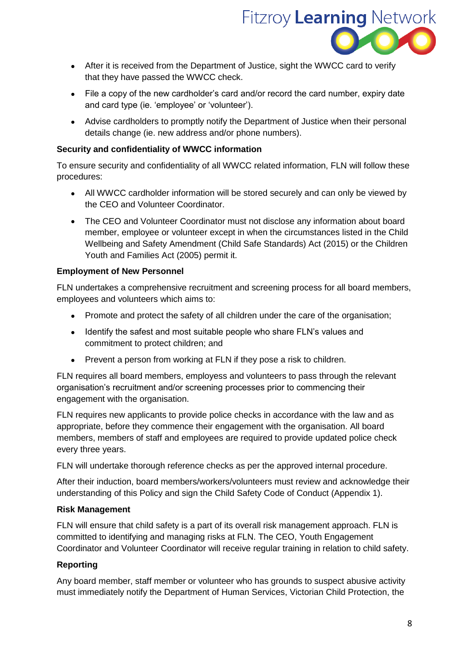

- After it is received from the Department of Justice, sight the WWCC card to verify that they have passed the WWCC check.
- File a copy of the new cardholder's card and/or record the card number, expiry date and card type (ie. 'employee' or 'volunteer').
- Advise cardholders to promptly notify the Department of Justice when their personal details change (ie. new address and/or phone numbers).

#### **Security and confidentiality of WWCC information**

To ensure security and confidentiality of all WWCC related information, FLN will follow these procedures:

- All WWCC cardholder information will be stored securely and can only be viewed by the CEO and Volunteer Coordinator.
- The CEO and Volunteer Coordinator must not disclose any information about board member, employee or volunteer except in when the circumstances listed in the Child Wellbeing and Safety Amendment (Child Safe Standards) Act (2015) or the Children Youth and Families Act (2005) permit it.

#### **Employment of New Personnel**

FLN undertakes a comprehensive recruitment and screening process for all board members, employees and volunteers which aims to:

- Promote and protect the safety of all children under the care of the organisation;
- Identify the safest and most suitable people who share FLN's values and commitment to protect children; and
- Prevent a person from working at FLN if they pose a risk to children.

FLN requires all board members, employess and volunteers to pass through the relevant organisation's recruitment and/or screening processes prior to commencing their engagement with the organisation.

FLN requires new applicants to provide police checks in accordance with the law and as appropriate, before they commence their engagement with the organisation. All board members, members of staff and employees are required to provide updated police check every three years.

FLN will undertake thorough reference checks as per the approved internal procedure.

After their induction, board members/workers/volunteers must review and acknowledge their understanding of this Policy and sign the Child Safety Code of Conduct (Appendix 1).

#### **Risk Management**

FLN will ensure that child safety is a part of its overall risk management approach. FLN is committed to identifying and managing risks at FLN. The CEO, Youth Engagement Coordinator and Volunteer Coordinator will receive regular training in relation to child safety.

#### **Reporting**

Any board member, staff member or volunteer who has grounds to suspect abusive activity must immediately notify the Department of Human Services, Victorian Child Protection, the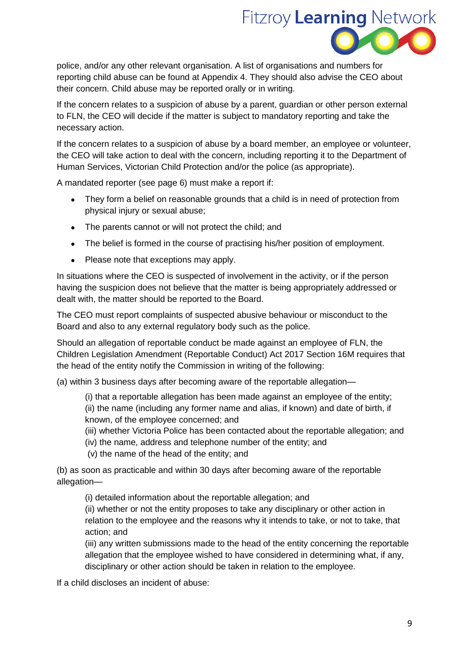

police, and/or any other relevant organisation. A list of organisations and numbers for reporting child abuse can be found at Appendix 4. They should also advise the CEO about their concern. Child abuse may be reported orally or in writing.

If the concern relates to a suspicion of abuse by a parent, guardian or other person external to FLN, the CEO will decide if the matter is subject to mandatory reporting and take the necessary action.

If the concern relates to a suspicion of abuse by a board member, an employee or volunteer, the CEO will take action to deal with the concern, including reporting it to the Department of Human Services, Victorian Child Protection and/or the police (as appropriate).

A mandated reporter (see page 6) must make a report if:

- They form a belief on reasonable grounds that a child is in need of protection from physical injury or sexual abuse;
- The parents cannot or will not protect the child; and
- The belief is formed in the course of practising his/her position of employment.
- Please note that exceptions may apply.

In situations where the CEO is suspected of involvement in the activity, or if the person having the suspicion does not believe that the matter is being appropriately addressed or dealt with, the matter should be reported to the Board.

The CEO must report complaints of suspected abusive behaviour or misconduct to the Board and also to any external regulatory body such as the police.

Should an allegation of reportable conduct be made against an employee of FLN, the Children Legislation Amendment (Reportable Conduct) Act 2017 Section 16M requires that the head of the entity notify the Commission in writing of the following:

(a) within 3 business days after becoming aware of the reportable allegation—

(i) that a reportable allegation has been made against an employee of the entity; (ii) the name (including any former name and alias, if known) and date of birth, if known, of the employee concerned; and

(iii) whether Victoria Police has been contacted about the reportable allegation; and

- (iv) the name, address and telephone number of the entity; and
- (v) the name of the head of the entity; and

(b) as soon as practicable and within 30 days after becoming aware of the reportable allegation—

(i) detailed information about the reportable allegation; and

(ii) whether or not the entity proposes to take any disciplinary or other action in relation to the employee and the reasons why it intends to take, or not to take, that action; and

(iii) any written submissions made to the head of the entity concerning the reportable allegation that the employee wished to have considered in determining what, if any, disciplinary or other action should be taken in relation to the employee.

If a child discloses an incident of abuse: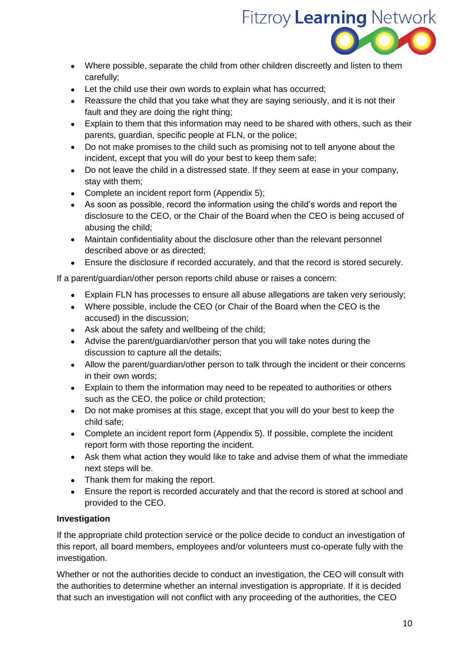

- Where possible, separate the child from other children discreetly and listen to them carefully;
- Let the child use their own words to explain what has occurred;
- Reassure the child that you take what they are saying seriously, and it is not their fault and they are doing the right thing;
- Explain to them that this information may need to be shared with others, such as their parents, guardian, specific people at FLN, or the police;
- Do not make promises to the child such as promising not to tell anyone about the incident, except that you will do your best to keep them safe;
- Do not leave the child in a distressed state. If they seem at ease in your company, stay with them;
- Complete an incident report form (Appendix 5);
- As soon as possible, record the information using the child's words and report the disclosure to the CEO, or the Chair of the Board when the CEO is being accused of abusing the child;
- Maintain confidentiality about the disclosure other than the relevant personnel described above or as directed;
- Ensure the disclosure if recorded accurately, and that the record is stored securely.

If a parent/guardian/other person reports child abuse or raises a concern:

- Explain FLN has processes to ensure all abuse allegations are taken very seriously;
- Where possible, include the CEO (or Chair of the Board when the CEO is the accused) in the discussion;
- Ask about the safety and wellbeing of the child;
- Advise the parent/guardian/other person that you will take notes during the discussion to capture all the details;
- Allow the parent/guardian/other person to talk through the incident or their concerns in their own words;
- Explain to them the information may need to be repeated to authorities or others such as the CEO, the police or child protection;
- Do not make promises at this stage, except that you will do your best to keep the child safe;
- Complete an incident report form (Appendix 5). If possible, complete the incident report form with those reporting the incident.
- Ask them what action they would like to take and advise them of what the immediate next steps will be.
- Thank them for making the report.
- Ensure the report is recorded accurately and that the record is stored at school and provided to the CEO.

#### **Investigation**

If the appropriate child protection service or the police decide to conduct an investigation of this report, all board members, employees and/or volunteers must co-operate fully with the investigation.

Whether or not the authorities decide to conduct an investigation, the CEO will consult with the authorities to determine whether an internal investigation is appropriate. If it is decided that such an investigation will not conflict with any proceeding of the authorities, the CEO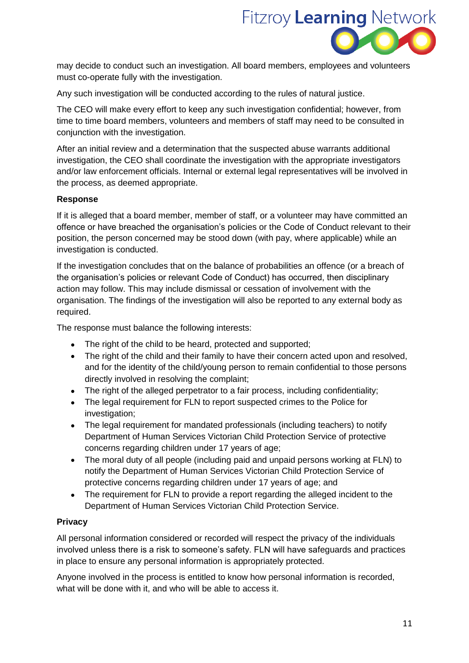

may decide to conduct such an investigation. All board members, employees and volunteers must co-operate fully with the investigation.

Any such investigation will be conducted according to the rules of natural justice.

The CEO will make every effort to keep any such investigation confidential; however, from time to time board members, volunteers and members of staff may need to be consulted in conjunction with the investigation.

After an initial review and a determination that the suspected abuse warrants additional investigation, the CEO shall coordinate the investigation with the appropriate investigators and/or law enforcement officials. Internal or external legal representatives will be involved in the process, as deemed appropriate.

#### **Response**

If it is alleged that a board member, member of staff, or a volunteer may have committed an offence or have breached the organisation's policies or the Code of Conduct relevant to their position, the person concerned may be stood down (with pay, where applicable) while an investigation is conducted.

If the investigation concludes that on the balance of probabilities an offence (or a breach of the organisation's policies or relevant Code of Conduct) has occurred, then disciplinary action may follow. This may include dismissal or cessation of involvement with the organisation. The findings of the investigation will also be reported to any external body as required.

The response must balance the following interests:

- The right of the child to be heard, protected and supported:
- The right of the child and their family to have their concern acted upon and resolved, and for the identity of the child/young person to remain confidential to those persons directly involved in resolving the complaint;
- The right of the alleged perpetrator to a fair process, including confidentiality;
- The legal requirement for FLN to report suspected crimes to the Police for investigation;
- The legal requirement for mandated professionals (including teachers) to notify Department of Human Services Victorian Child Protection Service of protective concerns regarding children under 17 years of age;
- The moral duty of all people (including paid and unpaid persons working at FLN) to notify the Department of Human Services Victorian Child Protection Service of protective concerns regarding children under 17 years of age; and
- The requirement for FLN to provide a report regarding the alleged incident to the Department of Human Services Victorian Child Protection Service.

#### **Privacy**

All personal information considered or recorded will respect the privacy of the individuals involved unless there is a risk to someone's safety. FLN will have safeguards and practices in place to ensure any personal information is appropriately protected.

Anyone involved in the process is entitled to know how personal information is recorded, what will be done with it, and who will be able to access it.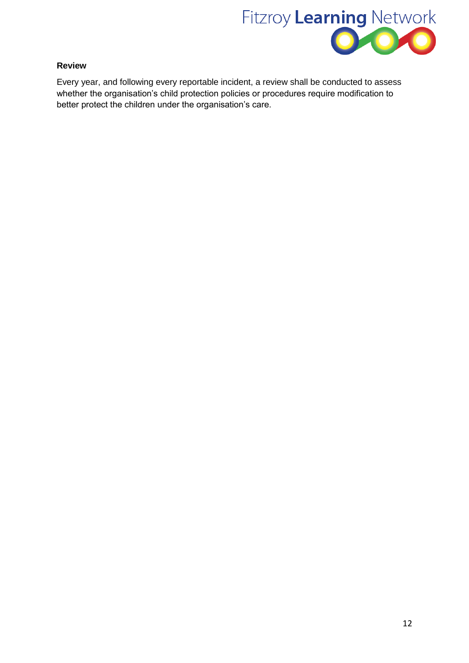

#### **Review**

Every year, and following every reportable incident, a review shall be conducted to assess whether the organisation's child protection policies or procedures require modification to better protect the children under the organisation's care.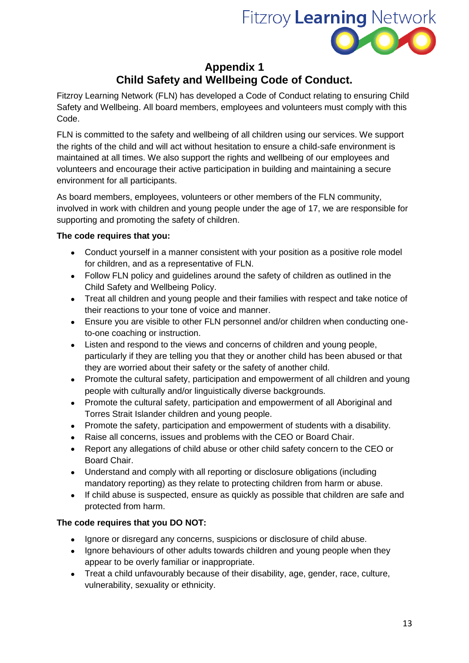

# **Appendix 1 Child Safety and Wellbeing Code of Conduct.**

Fitzroy Learning Network (FLN) has developed a Code of Conduct relating to ensuring Child Safety and Wellbeing. All board members, employees and volunteers must comply with this Code.

FLN is committed to the safety and wellbeing of all children using our services. We support the rights of the child and will act without hesitation to ensure a child-safe environment is maintained at all times. We also support the rights and wellbeing of our employees and volunteers and encourage their active participation in building and maintaining a secure environment for all participants.

As board members, employees, volunteers or other members of the FLN community, involved in work with children and young people under the age of 17, we are responsible for supporting and promoting the safety of children.

#### **The code requires that you:**

- Conduct yourself in a manner consistent with your position as a positive role model for children, and as a representative of FLN.
- Follow FLN policy and guidelines around the safety of children as outlined in the Child Safety and Wellbeing Policy.
- Treat all children and young people and their families with respect and take notice of their reactions to your tone of voice and manner.
- Ensure you are visible to other FLN personnel and/or children when conducting oneto-one coaching or instruction.
- Listen and respond to the views and concerns of children and young people, particularly if they are telling you that they or another child has been abused or that they are worried about their safety or the safety of another child.
- Promote the cultural safety, participation and empowerment of all children and young people with culturally and/or linguistically diverse backgrounds.
- Promote the cultural safety, participation and empowerment of all Aboriginal and Torres Strait Islander children and young people.
- Promote the safety, participation and empowerment of students with a disability.
- Raise all concerns, issues and problems with the CEO or Board Chair.
- Report any allegations of child abuse or other child safety concern to the CEO or Board Chair.
- Understand and comply with all reporting or disclosure obligations (including mandatory reporting) as they relate to protecting children from harm or abuse.
- If child abuse is suspected, ensure as quickly as possible that children are safe and protected from harm.

#### **The code requires that you DO NOT:**

- Ignore or disregard any concerns, suspicions or disclosure of child abuse.
- Ignore behaviours of other adults towards children and young people when they appear to be overly familiar or inappropriate.
- Treat a child unfavourably because of their disability, age, gender, race, culture, vulnerability, sexuality or ethnicity.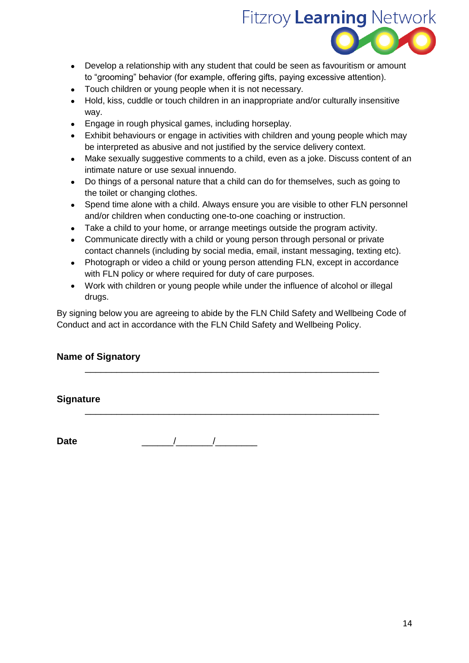

- Develop a relationship with any student that could be seen as favouritism or amount to "grooming" behavior (for example, offering gifts, paying excessive attention).
- Touch children or young people when it is not necessary.
- Hold, kiss, cuddle or touch children in an inappropriate and/or culturally insensitive way.
- Engage in rough physical games, including horseplay.
- Exhibit behaviours or engage in activities with children and young people which may be interpreted as abusive and not justified by the service delivery context.
- Make sexually suggestive comments to a child, even as a joke. Discuss content of an intimate nature or use sexual innuendo.
- Do things of a personal nature that a child can do for themselves, such as going to the toilet or changing clothes.
- Spend time alone with a child. Always ensure you are visible to other FLN personnel and/or children when conducting one-to-one coaching or instruction.
- Take a child to your home, or arrange meetings outside the program activity.
- Communicate directly with a child or young person through personal or private contact channels (including by social media, email, instant messaging, texting etc).
- Photograph or video a child or young person attending FLN, except in accordance with FLN policy or where required for duty of care purposes.
- Work with children or young people while under the influence of alcohol or illegal drugs.

By signing below you are agreeing to abide by the FLN Child Safety and Wellbeing Code of Conduct and act in accordance with the FLN Child Safety and Wellbeing Policy.

\_\_\_\_\_\_\_\_\_\_\_\_\_\_\_\_\_\_\_\_\_\_\_\_\_\_\_\_\_\_\_\_\_\_\_\_\_\_\_\_\_\_\_\_\_\_\_\_\_\_\_\_\_\_\_\_

\_\_\_\_\_\_\_\_\_\_\_\_\_\_\_\_\_\_\_\_\_\_\_\_\_\_\_\_\_\_\_\_\_\_\_\_\_\_\_\_\_\_\_\_\_\_\_\_\_\_\_\_\_\_\_\_

### **Name of Signatory**

**Signature**

**Date** \_\_\_\_\_\_/\_\_\_\_\_\_\_/\_\_\_\_\_\_\_\_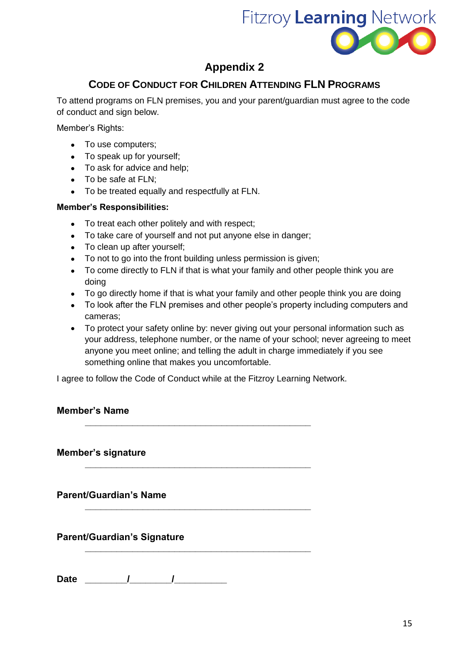

# **Appendix 2**

# **CODE OF CONDUCT FOR CHILDREN ATTENDING FLN PROGRAMS**

To attend programs on FLN premises, you and your parent/guardian must agree to the code of conduct and sign below.

Member's Rights:

- To use computers;
- To speak up for yourself;
- To ask for advice and help;
- To be safe at FLN:
- To be treated equally and respectfully at FLN.

#### **Member's Responsibilities:**

- To treat each other politely and with respect;
- To take care of yourself and not put anyone else in danger;
- To clean up after yourself:
- To not to go into the front building unless permission is given;
- To come directly to FLN if that is what your family and other people think you are doing
- To go directly home if that is what your family and other people think you are doing
- To look after the FLN premises and other people's property including computers and cameras;
- To protect your safety online by: never giving out your personal information such as your address, telephone number, or the name of your school; never agreeing to meet anyone you meet online; and telling the adult in charge immediately if you see something online that makes you uncomfortable.

I agree to follow the Code of Conduct while at the Fitzroy Learning Network.

**\_\_\_\_\_\_\_\_\_\_\_\_\_\_\_\_\_\_\_\_\_\_\_\_\_\_\_\_\_\_\_\_\_\_\_\_\_\_\_\_\_\_\_**

**\_\_\_\_\_\_\_\_\_\_\_\_\_\_\_\_\_\_\_\_\_\_\_\_\_\_\_\_\_\_\_\_\_\_\_\_\_\_\_\_\_\_\_**

**\_\_\_\_\_\_\_\_\_\_\_\_\_\_\_\_\_\_\_\_\_\_\_\_\_\_\_\_\_\_\_\_\_\_\_\_\_\_\_\_\_\_\_**

**\_\_\_\_\_\_\_\_\_\_\_\_\_\_\_\_\_\_\_\_\_\_\_\_\_\_\_\_\_\_\_\_\_\_\_\_\_\_\_\_\_\_\_**

### **Member's Name**

**Member's signature**

**Parent/Guardian's Name**

**Parent/Guardian's Signature**

Date / / /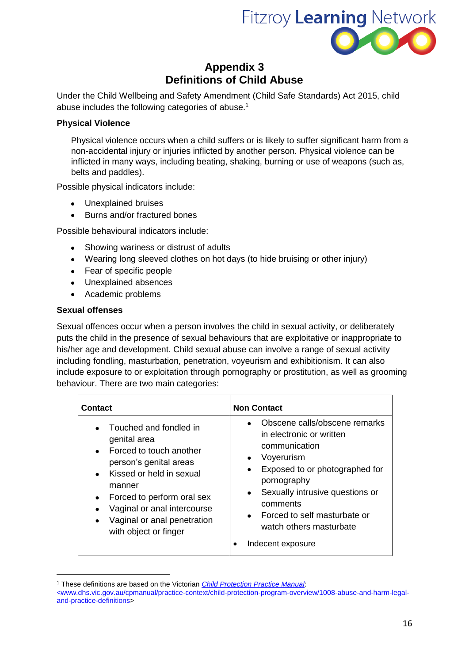

# **Appendix 3 Definitions of Child Abuse**

Under the Child Wellbeing and Safety Amendment (Child Safe Standards) Act 2015, child abuse includes the following categories of abuse.<sup>1</sup>

#### **Physical Violence**

Physical violence occurs when a child suffers or is likely to suffer significant harm from a non-accidental injury or injuries inflicted by another person. Physical violence can be inflicted in many ways, including beating, shaking, burning or use of weapons (such as, belts and paddles).

Possible physical indicators include:

- Unexplained bruises
- Burns and/or fractured bones

Possible behavioural indicators include:

- Showing wariness or distrust of adults
- Wearing long sleeved clothes on hot days (to hide bruising or other injury)
- Fear of specific people
- Unexplained absences
- Academic problems

#### **Sexual offenses**

<u>.</u>

Sexual offences occur when a person involves the child in sexual activity, or deliberately puts the child in the presence of sexual behaviours that are exploitative or inappropriate to his/her age and development. Child sexual abuse can involve a range of sexual activity including fondling, masturbation, penetration, voyeurism and exhibitionism. It can also include exposure to or exploitation through pornography or prostitution, as well as grooming behaviour. There are two main categories:

| <b>Contact</b>                                                                                                                                                                                                                                                        | <b>Non Contact</b>                                                                                                                                                                                                                                                                                                |
|-----------------------------------------------------------------------------------------------------------------------------------------------------------------------------------------------------------------------------------------------------------------------|-------------------------------------------------------------------------------------------------------------------------------------------------------------------------------------------------------------------------------------------------------------------------------------------------------------------|
| Touched and fondled in<br>genital area<br>• Forced to touch another<br>person's genital areas<br>Kissed or held in sexual<br>manner<br>Forced to perform oral sex<br>Vaginal or anal intercourse<br>$\bullet$<br>Vaginal or anal penetration<br>with object or finger | Obscene calls/obscene remarks<br>$\bullet$<br>in electronic or written<br>communication<br>Voyerurism<br>Exposed to or photographed for<br>$\bullet$<br>pornography<br>Sexually intrusive questions or<br>$\bullet$<br>comments<br>• Forced to self masturbate or<br>watch others masturbate<br>Indecent exposure |

<sup>1</sup> These definitions are based on the Victorian *[Child Protection Practice Manual](http://www.dhs.vic.gov.au/cpmanual/practice-context/child-protection-program-overview/1008-abuse-and-harm-legal-and-practice-definitions)*: [<www.dhs.vic.gov.au/cpmanual/practice-context/child-protection-program-overview/1008-abuse-and-harm-legal](file:///C:/Users/robert/AppData/Local/Microsoft/Windows/Temporary%20Internet%20Files/Documents%20and%20Settings/vste2210/Local%20Settings/Temp/notes9493C6/%3cwww.dhs.vic.gov.au/cpmanual/practice-context/child-protection-program-overview/1008-abuse-and-harm-legal-and-practice-definitions)[and-practice-definitions>](file:///C:/Users/robert/AppData/Local/Microsoft/Windows/Temporary%20Internet%20Files/Documents%20and%20Settings/vste2210/Local%20Settings/Temp/notes9493C6/%3cwww.dhs.vic.gov.au/cpmanual/practice-context/child-protection-program-overview/1008-abuse-and-harm-legal-and-practice-definitions)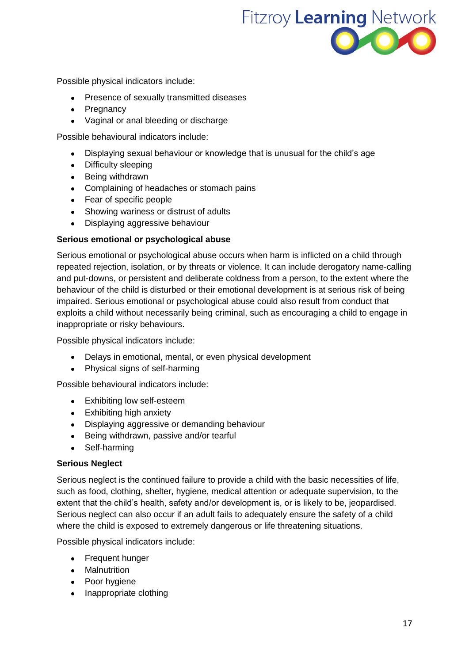

Possible physical indicators include:

- Presence of sexually transmitted diseases
- Pregnancy
- Vaginal or anal bleeding or discharge

Possible behavioural indicators include:

- Displaying sexual behaviour or knowledge that is unusual for the child's age
- Difficulty sleeping
- Being withdrawn
- Complaining of headaches or stomach pains
- Fear of specific people
- Showing wariness or distrust of adults
- Displaying aggressive behaviour

#### **Serious emotional or psychological abuse**

Serious emotional or psychological abuse occurs when harm is inflicted on a child through repeated rejection, isolation, or by threats or violence. It can include derogatory name-calling and put-downs, or persistent and deliberate coldness from a person, to the extent where the behaviour of the child is disturbed or their emotional development is at serious risk of being impaired. Serious emotional or psychological abuse could also result from conduct that exploits a child without necessarily being criminal, such as encouraging a child to engage in inappropriate or risky behaviours.

Possible physical indicators include:

- Delays in emotional, mental, or even physical development
- Physical signs of self-harming

Possible behavioural indicators include:

- Exhibiting low self-esteem
- Exhibiting high anxiety
- Displaying aggressive or demanding behaviour
- Being withdrawn, passive and/or tearful
- Self-harming

#### **Serious Neglect**

Serious neglect is the continued failure to provide a child with the basic necessities of life, such as food, clothing, shelter, hygiene, medical attention or adequate supervision, to the extent that the child's health, safety and/or development is, or is likely to be, jeopardised. Serious neglect can also occur if an adult fails to adequately ensure the safety of a child where the child is exposed to extremely dangerous or life threatening situations.

Possible physical indicators include:

- Frequent hunger
- Malnutrition
- Poor hygiene
- Inappropriate clothing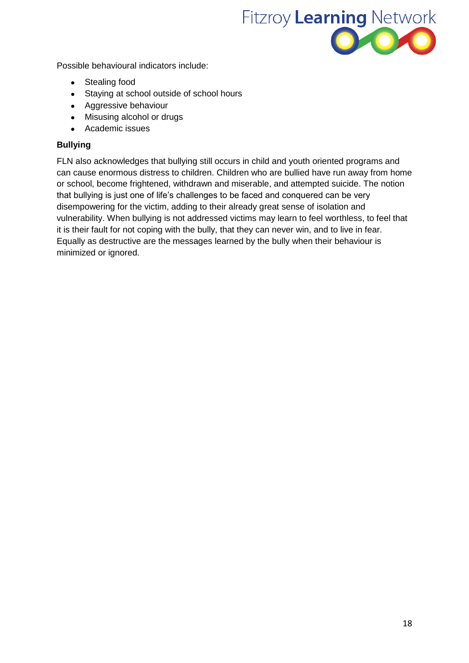

Possible behavioural indicators include:

- Stealing food
- Staying at school outside of school hours
- Aggressive behaviour
- Misusing alcohol or drugs
- Academic issues

#### **Bullying**

FLN also acknowledges that bullying still occurs in child and youth oriented programs and can cause enormous distress to children. Children who are bullied have run away from home or school, become frightened, withdrawn and miserable, and attempted suicide. The notion that bullying is just one of life's challenges to be faced and conquered can be very disempowering for the victim, adding to their already great sense of isolation and vulnerability. When bullying is not addressed victims may learn to feel worthless, to feel that it is their fault for not coping with the bully, that they can never win, and to live in fear. Equally as destructive are the messages learned by the bully when their behaviour is minimized or ignored.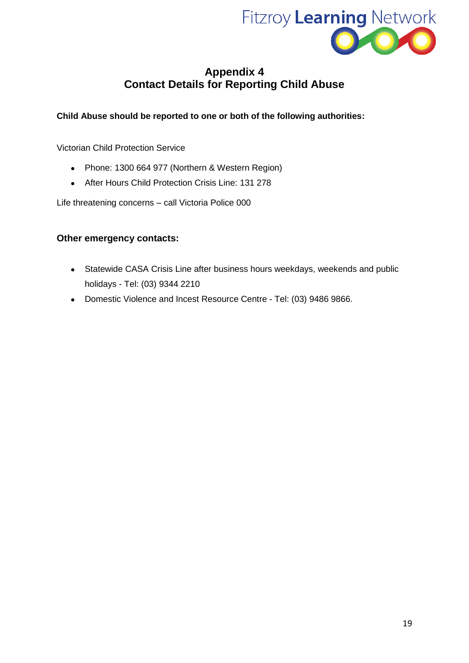

# **Appendix 4 Contact Details for Reporting Child Abuse**

#### **Child Abuse should be reported to one or both of the following authorities:**

Victorian Child Protection Service

- Phone: 1300 664 977 (Northern & Western Region)
- After Hours Child Protection Crisis Line: 131 278

Life threatening concerns – call Victoria Police 000

#### **Other emergency contacts:**

- Statewide CASA Crisis Line after business hours weekdays, weekends and public holidays - Tel: (03) 9344 2210
- Domestic Violence and Incest Resource Centre Tel: (03) 9486 9866.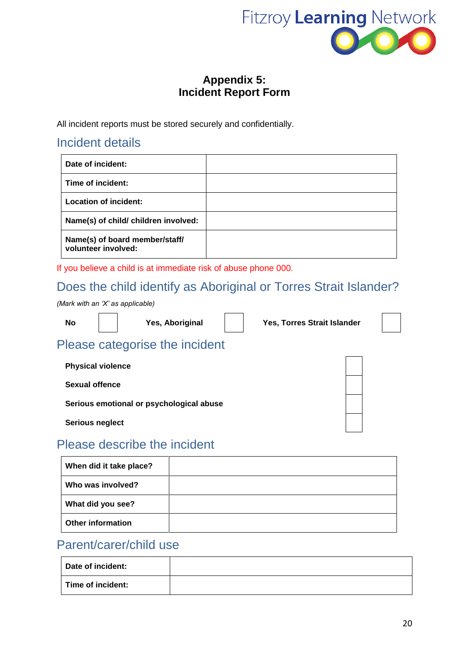

# **Appendix 5: Incident Report Form**

All incident reports must be stored securely and confidentially.

# Incident details

| Date of incident:                                     |  |
|-------------------------------------------------------|--|
| Time of incident:                                     |  |
| <b>Location of incident:</b>                          |  |
| Name(s) of child/ children involved:                  |  |
| Name(s) of board member/staff/<br>volunteer involved: |  |

If you believe a child is at immediate risk of abuse phone 000.

# Does the child identify as Aboriginal or Torres Strait Islander?

*(Mark with an 'X' as applicable)*

**No Yes, Aboriginal Yes, Torres Strait Islander**

# Please categorise the incident

**Physical violence Sexual offence Serious emotional or psychological abuse Serious neglect**

# Please describe the incident

| When did it take place?  |  |
|--------------------------|--|
| Who was involved?        |  |
| What did you see?        |  |
| <b>Other information</b> |  |

# Parent/carer/child use

| Date of incident: |  |
|-------------------|--|
| Time of incident: |  |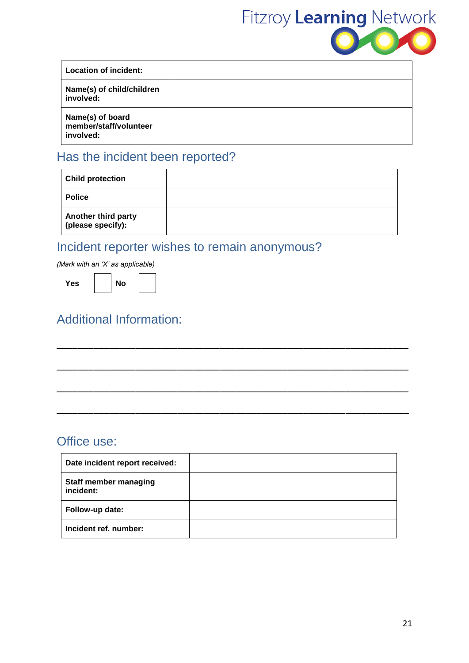

| Location of incident:                                   |  |
|---------------------------------------------------------|--|
| Name(s) of child/children<br>involved:                  |  |
| Name(s) of board<br>member/staff/volunteer<br>involved: |  |

# Has the incident been reported?

| <b>Child protection</b>                  |  |
|------------------------------------------|--|
| <b>Police</b>                            |  |
| Another third party<br>(please specify): |  |

–––––––––––––––––––––––––––––––––––––––––––––––––––––––––––––––––––

–––––––––––––––––––––––––––––––––––––––––––––––––––––––––––––––––––

–––––––––––––––––––––––––––––––––––––––––––––––––––––––––––––––––––

–––––––––––––––––––––––––––––––––––––––––––––––––––––––––––––––––––

# Incident reporter wishes to remain anonymous?

*(Mark with an 'X' as applicable)*

Yes **No** 

# Additional Information:

# Office use:

| Date incident report received:            |  |
|-------------------------------------------|--|
| <b>Staff member managing</b><br>incident: |  |
| Follow-up date:                           |  |
| Incident ref. number:                     |  |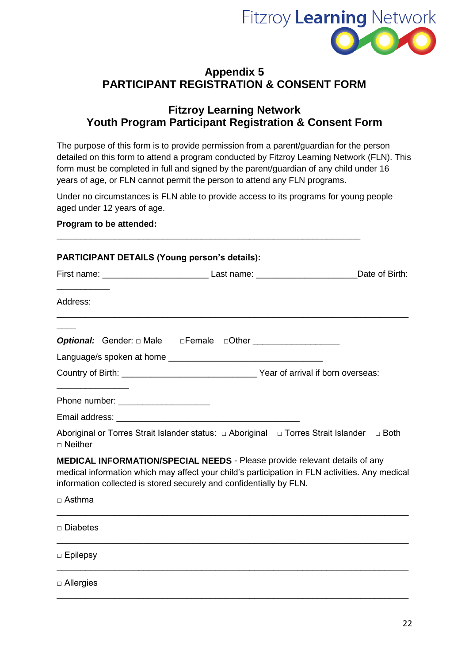

# **Appendix 5 PARTICIPANT REGISTRATION & CONSENT FORM**

### **Fitzroy Learning Network Youth Program Participant Registration & Consent Form**

The purpose of this form is to provide permission from a parent/guardian for the person detailed on this form to attend a program conducted by Fitzroy Learning Network (FLN). This form must be completed in full and signed by the parent/guardian of any child under 16 years of age, or FLN cannot permit the person to attend any FLN programs.

Under no circumstances is FLN able to provide access to its programs for young people aged under 12 years of age.

**\_\_\_\_\_\_\_\_\_\_\_\_\_\_\_\_\_\_\_\_\_\_\_\_\_\_\_\_\_\_\_\_\_\_\_\_\_\_\_\_\_\_\_\_\_\_\_\_\_\_\_\_\_\_\_\_\_\_\_\_\_\_\_**

#### **Program to be attended:**

| <b>PARTICIPANT DETAILS (Young person's details):</b> |                                                                                                                                                                                                                                                            |  |
|------------------------------------------------------|------------------------------------------------------------------------------------------------------------------------------------------------------------------------------------------------------------------------------------------------------------|--|
|                                                      |                                                                                                                                                                                                                                                            |  |
| Address:                                             |                                                                                                                                                                                                                                                            |  |
|                                                      |                                                                                                                                                                                                                                                            |  |
|                                                      |                                                                                                                                                                                                                                                            |  |
|                                                      |                                                                                                                                                                                                                                                            |  |
| Phone number: ______________________                 |                                                                                                                                                                                                                                                            |  |
| $\Box$ Neither                                       | Aboriginal or Torres Strait Islander status: $\Box$ Aboriginal $\Box$ Torres Strait Islander $\Box$ Both                                                                                                                                                   |  |
|                                                      | <b>MEDICAL INFORMATION/SPECIAL NEEDS</b> - Please provide relevant details of any<br>medical information which may affect your child's participation in FLN activities. Any medical<br>information collected is stored securely and confidentially by FLN. |  |
| $\Box$ Asthma                                        |                                                                                                                                                                                                                                                            |  |
| $\Box$ Diabetes                                      |                                                                                                                                                                                                                                                            |  |
| $\Box$ Epilepsy                                      |                                                                                                                                                                                                                                                            |  |
| $\Box$ Allergies                                     |                                                                                                                                                                                                                                                            |  |

\_\_\_\_\_\_\_\_\_\_\_\_\_\_\_\_\_\_\_\_\_\_\_\_\_\_\_\_\_\_\_\_\_\_\_\_\_\_\_\_\_\_\_\_\_\_\_\_\_\_\_\_\_\_\_\_\_\_\_\_\_\_\_\_\_\_\_\_\_\_\_\_\_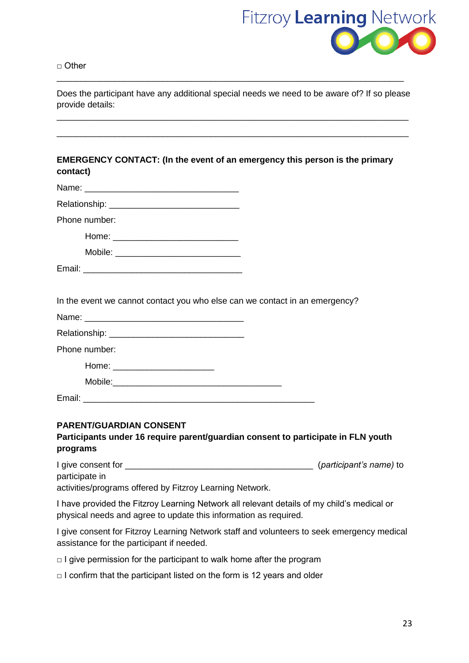

□ Other

Does the participant have any additional special needs we need to be aware of? If so please provide details:

\_\_\_\_\_\_\_\_\_\_\_\_\_\_\_\_\_\_\_\_\_\_\_\_\_\_\_\_\_\_\_\_\_\_\_\_\_\_\_\_\_\_\_\_\_\_\_\_\_\_\_\_\_\_\_\_\_\_\_\_\_\_\_\_\_\_\_\_\_\_\_\_\_

\_\_\_\_\_\_\_\_\_\_\_\_\_\_\_\_\_\_\_\_\_\_\_\_\_\_\_\_\_\_\_\_\_\_\_\_\_\_\_\_\_\_\_\_\_\_\_\_\_\_\_\_\_\_\_\_\_\_\_\_\_\_\_\_\_\_\_\_\_\_\_\_\_

\_\_\_\_\_\_\_\_\_\_\_\_\_\_\_\_\_\_\_\_\_\_\_\_\_\_\_\_\_\_\_\_\_\_\_\_\_\_\_\_\_\_\_\_\_\_\_\_\_\_\_\_\_\_\_\_\_\_\_\_\_\_\_\_\_\_\_\_\_\_\_\_

#### **EMERGENCY CONTACT: (In the event of an emergency this person is the primary contact)**

| Phone number:                                                               |  |
|-----------------------------------------------------------------------------|--|
|                                                                             |  |
|                                                                             |  |
|                                                                             |  |
|                                                                             |  |
| In the event we cannot contact you who else can we contact in an emergency? |  |
|                                                                             |  |
|                                                                             |  |
| Phone number:                                                               |  |
|                                                                             |  |

Mobile: Email:

Home: \_\_\_\_\_\_\_\_\_\_\_\_\_\_\_\_\_\_\_\_\_

#### **PARENT/GUARDIAN CONSENT**

#### **Participants under 16 require parent/guardian consent to participate in FLN youth programs**

I give consent for \_\_\_\_\_\_\_\_\_\_\_\_\_\_\_\_\_\_\_\_\_\_\_\_\_\_\_\_\_\_\_\_\_\_\_\_\_\_\_ (*participant's name)* to participate in

activities/programs offered by Fitzroy Learning Network.

I have provided the Fitzroy Learning Network all relevant details of my child's medical or physical needs and agree to update this information as required.

I give consent for Fitzroy Learning Network staff and volunteers to seek emergency medical assistance for the participant if needed.

- $\Box$  I give permission for the participant to walk home after the program
- $\Box$  I confirm that the participant listed on the form is 12 years and older